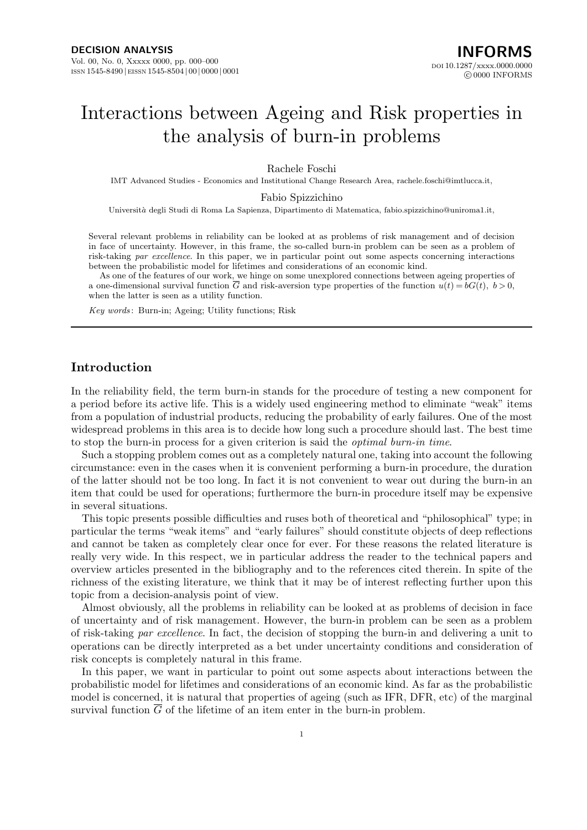# Interactions between Ageing and Risk properties in the analysis of burn-in problems

Rachele Foschi

IMT Advanced Studies - Economics and Institutional Change Research Area, rachele.foschi@imtlucca.it,

Fabio Spizzichino

Universit`*a* degli Studi di Roma La Sapienza, Dipartimento di Matematica, fabio.spizzichino@uniroma1.it,

Several relevant problems in reliability can be looked at as problems of risk management and of decision in face of uncertainty. However, in this frame, the so-called burn-in problem can be seen as a problem of risk-taking *par excellence*. In this paper, we in particular point out some aspects concerning interactions between the probabilistic model for lifetimes and considerations of an economic kind.

As one of the features of our work, we hinge on some unexplored connections between ageing properties of a one-dimensional survival function  $\overline{G}$  and risk-aversion type properties of the function  $u(t) = bG(t)$ ,  $b > 0$ , when the latter is seen as a utility function.

*Key words* : Burn-in; Ageing; Utility functions; Risk

## **Introduction**

In the reliability field, the term burn-in stands for the procedure of testing a new component for a period before its active life. This is a widely used engineering method to eliminate "weak" items from a population of industrial products, reducing the probability of early failures. One of the most widespread problems in this area is to decide how long such a procedure should last. The best time to stop the burn-in process for a given criterion is said the *optimal burn-in time*.

Such a stopping problem comes out as a completely natural one, taking into account the following circumstance: even in the cases when it is convenient performing a burn-in procedure, the duration of the latter should not be too long. In fact it is not convenient to wear out during the burn-in an item that could be used for operations; furthermore the burn-in procedure itself may be expensive in several situations.

This topic presents possible difficulties and ruses both of theoretical and "philosophical" type; in particular the terms "weak items" and "early failures" should constitute objects of deep reflections and cannot be taken as completely clear once for ever. For these reasons the related literature is really very wide. In this respect, we in particular address the reader to the technical papers and overview articles presented in the bibliography and to the references cited therein. In spite of the richness of the existing literature, we think that it may be of interest reflecting further upon this topic from a decision-analysis point of view.

Almost obviously, all the problems in reliability can be looked at as problems of decision in face of uncertainty and of risk management. However, the burn-in problem can be seen as a problem of risk-taking *par excellence*. In fact, the decision of stopping the burn-in and delivering a unit to operations can be directly interpreted as a bet under uncertainty conditions and consideration of risk concepts is completely natural in this frame.

In this paper, we want in particular to point out some aspects about interactions between the probabilistic model for lifetimes and considerations of an economic kind. As far as the probabilistic model is concerned, it is natural that properties of ageing (such as IFR, DFR, etc) of the marginal survival function  $\overline{G}$  of the lifetime of an item enter in the burn-in problem.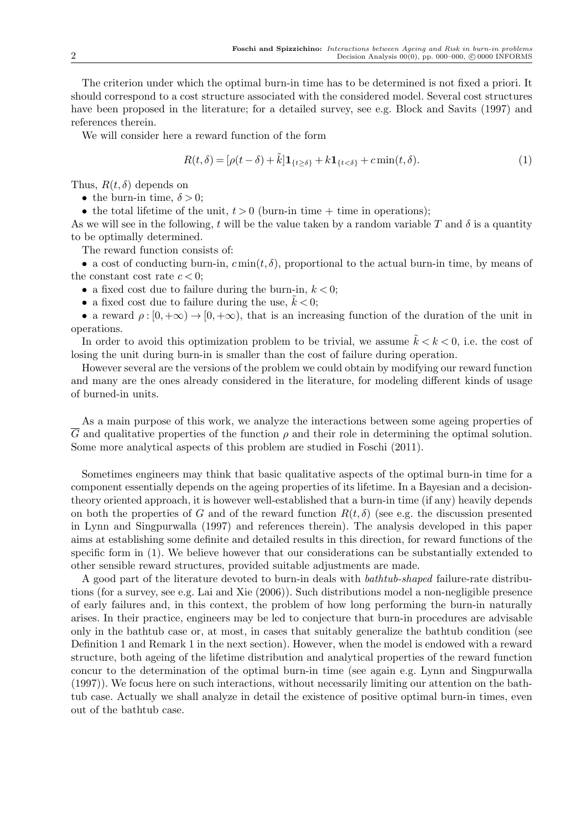The criterion under which the optimal burn-in time has to be determined is not fixed a priori. It should correspond to a cost structure associated with the considered model. Several cost structures have been proposed in the literature; for a detailed survey, see e.g. Block and Savits (1997) and references therein.

We will consider here a reward function of the form

$$
R(t,\delta) = [\rho(t-\delta) + \tilde{k}] \mathbf{1}_{\{t \ge \delta\}} + k \mathbf{1}_{\{t < \delta\}} + c \min(t,\delta). \tag{1}
$$

Thus,  $R(t, \delta)$  depends on

• the burn-in time,  $\delta > 0$ ;

• the total lifetime of the unit,  $t > 0$  (burn-in time + time in operations);

As we will see in the following, *t* will be the value taken by a random variable T and  $\delta$  is a quantity to be optimally determined.

The reward function consists of:

• a cost of conducting burn-in,  $c \min(t, \delta)$ , proportional to the actual burn-in time, by means of the constant cost rate  $c < 0$ ;

• a fixed cost due to failure during the burn-in,  $k < 0$ ;

• a fixed cost due to failure during the use,  $k < 0$ ;

• a reward  $\rho : [0, +\infty) \to [0, +\infty)$ , that is an increasing function of the duration of the unit in operations.

In order to avoid this optimization problem to be trivial, we assume  $\tilde{k} < k < 0$ , i.e. the cost of losing the unit during burn-in is smaller than the cost of failure during operation.

However several are the versions of the problem we could obtain by modifying our reward function and many are the ones already considered in the literature, for modeling different kinds of usage of burned-in units.

As a main purpose of this work, we analyze the interactions between some ageing properties of *G* and qualitative properties of the function  $\rho$  and their role in determining the optimal solution. Some more analytical aspects of this problem are studied in Foschi (2011).

Sometimes engineers may think that basic qualitative aspects of the optimal burn-in time for a component essentially depends on the ageing properties of its lifetime. In a Bayesian and a decisiontheory oriented approach, it is however well-established that a burn-in time (if any) heavily depends on both the properties of *G* and of the reward function  $R(t, \delta)$  (see e.g. the discussion presented in Lynn and Singpurwalla (1997) and references therein). The analysis developed in this paper aims at establishing some definite and detailed results in this direction, for reward functions of the specific form in (1). We believe however that our considerations can be substantially extended to other sensible reward structures, provided suitable adjustments are made.

A good part of the literature devoted to burn-in deals with *bathtub-shaped* failure-rate distributions (for a survey, see e.g. Lai and Xie (2006)). Such distributions model a non-negligible presence of early failures and, in this context, the problem of how long performing the burn-in naturally arises. In their practice, engineers may be led to conjecture that burn-in procedures are advisable only in the bathtub case or, at most, in cases that suitably generalize the bathtub condition (see Definition 1 and Remark 1 in the next section). However, when the model is endowed with a reward structure, both ageing of the lifetime distribution and analytical properties of the reward function concur to the determination of the optimal burn-in time (see again e.g. Lynn and Singpurwalla (1997)). We focus here on such interactions, without necessarily limiting our attention on the bathtub case. Actually we shall analyze in detail the existence of positive optimal burn-in times, even out of the bathtub case.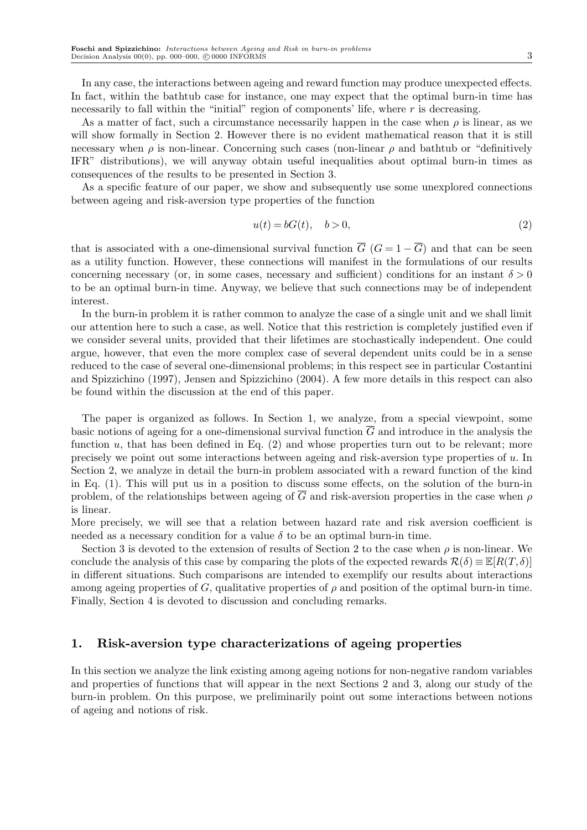In any case, the interactions between ageing and reward function may produce unexpected effects. In fact, within the bathtub case for instance, one may expect that the optimal burn-in time has necessarily to fall within the "initial" region of components' life, where *r* is decreasing.

As a matter of fact, such a circumstance necessarily happen in the case when  $\rho$  is linear, as we will show formally in Section 2. However there is no evident mathematical reason that it is still necessary when  $\rho$  is non-linear. Concerning such cases (non-linear  $\rho$  and bathtub or "definitively" IFR" distributions), we will anyway obtain useful inequalities about optimal burn-in times as consequences of the results to be presented in Section 3.

As a specific feature of our paper, we show and subsequently use some unexplored connections between ageing and risk-aversion type properties of the function

$$
u(t) = bG(t), \quad b > 0,
$$
\n
$$
(2)
$$

that is associated with a one-dimensional survival function  $\overline{G}$  ( $G = 1 - \overline{G}$ ) and that can be seen as a utility function. However, these connections will manifest in the formulations of our results concerning necessary (or, in some cases, necessary and sufficient) conditions for an instant  $\delta > 0$ to be an optimal burn-in time. Anyway, we believe that such connections may be of independent interest.

In the burn-in problem it is rather common to analyze the case of a single unit and we shall limit our attention here to such a case, as well. Notice that this restriction is completely justified even if we consider several units, provided that their lifetimes are stochastically independent. One could argue, however, that even the more complex case of several dependent units could be in a sense reduced to the case of several one-dimensional problems; in this respect see in particular Costantini and Spizzichino (1997), Jensen and Spizzichino (2004). A few more details in this respect can also be found within the discussion at the end of this paper.

The paper is organized as follows. In Section 1, we analyze, from a special viewpoint, some basic notions of ageing for a one-dimensional survival function  $\overline{G}$  and introduce in the analysis the function *u*, that has been defined in Eq. (2) and whose properties turn out to be relevant; more precisely we point out some interactions between ageing and risk-aversion type properties of *u*. In Section 2, we analyze in detail the burn-in problem associated with a reward function of the kind in Eq. (1). This will put us in a position to discuss some effects, on the solution of the burn-in problem, of the relationships between ageing of  $\overline{G}$  and risk-aversion properties in the case when  $\rho$ is linear.

More precisely, we will see that a relation between hazard rate and risk aversion coefficient is needed as a necessary condition for a value  $\delta$  to be an optimal burn-in time.

Section 3 is devoted to the extension of results of Section 2 to the case when *ρ* is non-linear. We conclude the analysis of this case by comparing the plots of the expected rewards  $\mathcal{R}(\delta) \equiv \mathbb{E}[R(T,\delta)]$ in different situations. Such comparisons are intended to exemplify our results about interactions among ageing properties of *G*, qualitative properties of  $\rho$  and position of the optimal burn-in time. Finally, Section 4 is devoted to discussion and concluding remarks.

# **1. Risk-aversion type characterizations of ageing properties**

In this section we analyze the link existing among ageing notions for non-negative random variables and properties of functions that will appear in the next Sections 2 and 3, along our study of the burn-in problem. On this purpose, we preliminarily point out some interactions between notions of ageing and notions of risk.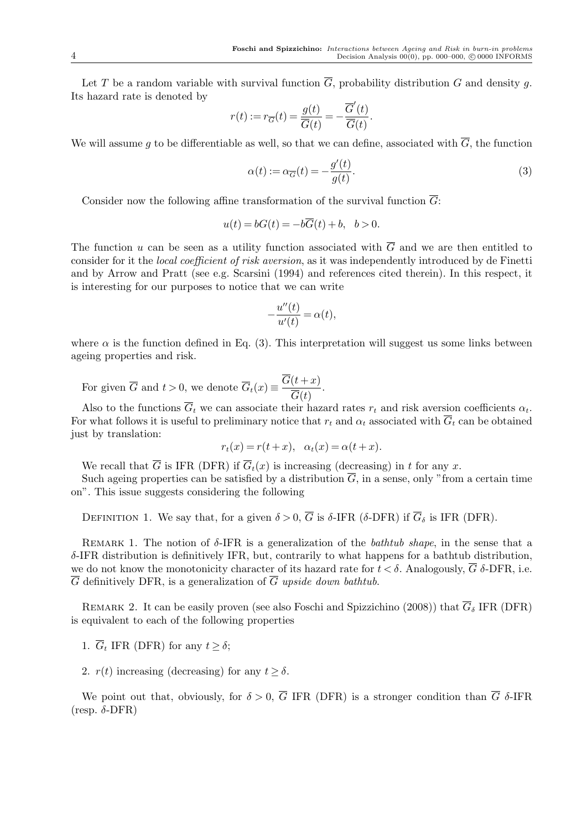Let *T* be a random variable with survival function  $\overline{G}$ , probability distribution *G* and density *g*. Its hazard rate is denoted by

$$
r(t):=r_{\overline{G}}(t)=\frac{g(t)}{\overline{G}(t)}=-\frac{\overline{G}'(t)}{\overline{G}(t)}.
$$

We will assume g to be differentiable as well, so that we can define, associated with  $\overline{G}$ , the function

$$
\alpha(t) := \alpha_{\overline{G}}(t) = -\frac{g'(t)}{g(t)}.\tag{3}
$$

Consider now the following affine transformation of the survival function *G*:

$$
u(t) = bG(t) = -b\overline{G}(t) + b, \quad b > 0.
$$

The function *u* can be seen as a utility function associated with  $\overline{G}$  and we are then entitled to consider for it the *local coefficient of risk aversion*, as it was independently introduced by de Finetti and by Arrow and Pratt (see e.g. Scarsini (1994) and references cited therein). In this respect, it is interesting for our purposes to notice that we can write

$$
-\frac{u''(t)}{u'(t)} = \alpha(t),
$$

where  $\alpha$  is the function defined in Eq. (3). This interpretation will suggest us some links between ageing properties and risk.

For given  $\overline{G}$  and  $t > 0$ , we denote  $\overline{G}_t(x) \equiv \frac{G(t+x)}{\overline{G}(t)}$ *G*(*t*) *.*

Also to the functions  $G_t$  we can associate their hazard rates  $r_t$  and risk aversion coefficients  $\alpha_t$ . For what follows it is useful to preliminary notice that  $r_t$  and  $\alpha_t$  associated with  $\overline{G}_t$  can be obtained just by translation:

$$
r_t(x) = r(t+x), \quad \alpha_t(x) = \alpha(t+x).
$$

We recall that  $\overline{G}$  is IFR (DFR) if  $\overline{G}_t(x)$  is increasing (decreasing) in *t* for any *x*.

Such ageing properties can be satisfied by a distribution  $\overline{G}$ , in a sense, only "from a certain time on". This issue suggests considering the following

DEFINITION 1. We say that, for a given  $\delta > 0$ ,  $\overline{G}$  is  $\delta$ -IFR ( $\delta$ -DFR) if  $\overline{G}_{\delta}$  is IFR (DFR).

Remark 1. The notion of *δ*-IFR is a generalization of the *bathtub shape*, in the sense that a *δ*-IFR distribution is definitively IFR, but, contrarily to what happens for a bathtub distribution, we do not know the monotonicity character of its hazard rate for  $t < \delta$ . Analogously,  $\overline{G}$   $\delta$ -DFR, i.e.  $\overline{G}$  definitively DFR, is a generalization of  $\overline{G}$  upside down bathtub.

REMARK 2. It can be easily proven (see also Foschi and Spizzichino (2008)) that  $\overline{G}_{\delta}$  IFR (DFR) is equivalent to each of the following properties

- 1.  $\overline{G}_t$  IFR (DFR) for any  $t \geq \delta$ ;
- 2.  $r(t)$  increasing (decreasing) for any  $t \geq \delta$ .

We point out that, obviously, for  $\delta > 0$ ,  $\overline{G}$  IFR (DFR) is a stronger condition than  $\overline{G}$   $\delta$ -IFR (resp. *δ*-DFR)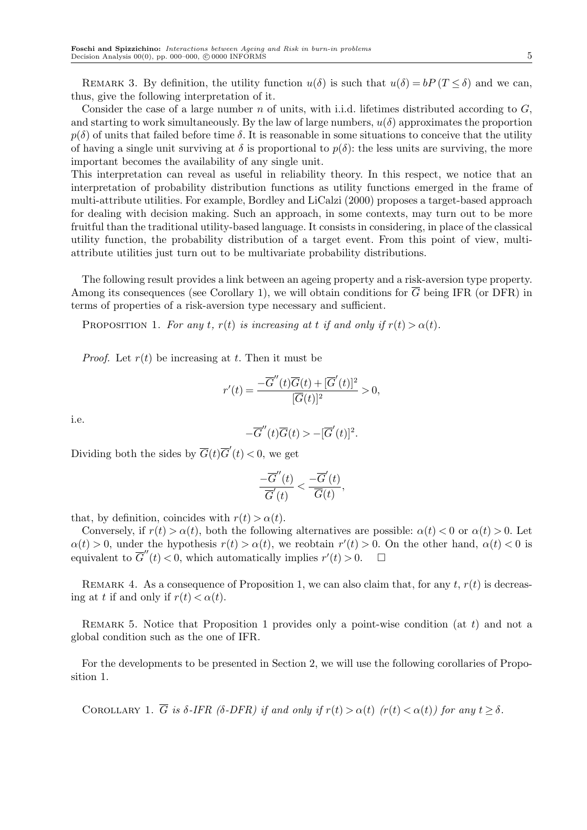REMARK 3. By definition, the utility function  $u(\delta)$  is such that  $u(\delta) = bP(T \leq \delta)$  and we can, thus, give the following interpretation of it.

Consider the case of a large number *n* of units, with i.i.d. lifetimes distributed according to *G*, and starting to work simultaneously. By the law of large numbers,  $u(\delta)$  approximates the proportion  $p(\delta)$  of units that failed before time  $\delta$ . It is reasonable in some situations to conceive that the utility of having a single unit surviving at  $\delta$  is proportional to  $p(\delta)$ : the less units are surviving, the more important becomes the availability of any single unit.

This interpretation can reveal as useful in reliability theory. In this respect, we notice that an interpretation of probability distribution functions as utility functions emerged in the frame of multi-attribute utilities. For example, Bordley and LiCalzi (2000) proposes a target-based approach for dealing with decision making. Such an approach, in some contexts, may turn out to be more fruitful than the traditional utility-based language. It consists in considering, in place of the classical utility function, the probability distribution of a target event. From this point of view, multiattribute utilities just turn out to be multivariate probability distributions.

The following result provides a link between an ageing property and a risk-aversion type property. Among its consequences (see Corollary 1), we will obtain conditions for  $\overline{G}$  being IFR (or DFR) in terms of properties of a risk-aversion type necessary and sufficient.

PROPOSITION 1. For any *t*,  $r(t)$  is increasing at *t* if and only if  $r(t) > \alpha(t)$ .

*Proof.* Let  $r(t)$  be increasing at *t*. Then it must be

$$
r'(t) = \frac{-\overline{G}''(t)\overline{G}(t) + [\overline{G}'(t)]^2}{[\overline{G}(t)]^2} > 0,
$$

i.e.

$$
-\overline{G}''(t)\overline{G}(t) > -[\overline{G}'(t)]^2.
$$

Dividing both the sides by  $\overline{G}(t)\overline{G}'(t) < 0$ , we get

$$
\frac{-\overline{G}''(t)}{\overline{G}'(t)} < \frac{-\overline{G}'(t)}{\overline{G}(t)},
$$

that, by definition, coincides with  $r(t) > \alpha(t)$ .

Conversely, if  $r(t) > \alpha(t)$ , both the following alternatives are possible:  $\alpha(t) < 0$  or  $\alpha(t) > 0$ . Let  $\alpha(t) > 0$ , under the hypothesis  $r(t) > \alpha(t)$ , we reobtain  $r'(t) > 0$ . On the other hand,  $\alpha(t) < 0$  is equivalent to  $\overline{G}''(t) < 0$ , which automatically implies  $r'(t) > 0$ .  $\Box$ 

REMARK 4. As a consequence of Proposition 1, we can also claim that, for any  $t$ ,  $r(t)$  is decreasing at *t* if and only if  $r(t) < \alpha(t)$ .

Remark 5. Notice that Proposition 1 provides only a point-wise condition (at *t*) and not a global condition such as the one of IFR.

For the developments to be presented in Section 2, we will use the following corollaries of Proposition 1.

COROLLARY 1.  $\overline{G}$  is  $\delta$ -IFR ( $\delta$ -DFR) if and only if  $r(t) > \alpha(t)$  ( $r(t) < \alpha(t)$ ) for any  $t \geq \delta$ .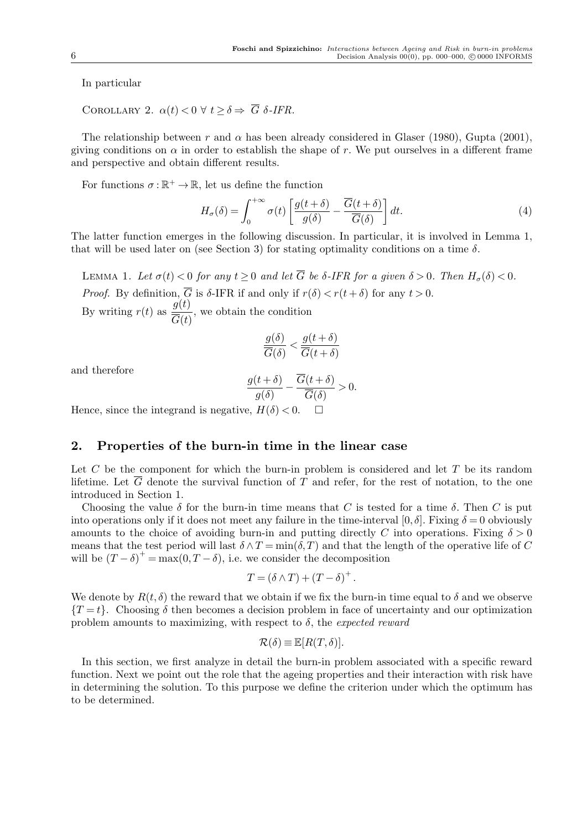In particular

COROLLARY 2.  $\alpha(t) < 0 \ \forall \ t > \delta \Rightarrow \overline{G} \ \delta$ -IFR.

The relationship between *r* and  $\alpha$  has been already considered in Glaser (1980), Gupta (2001), giving conditions on  $\alpha$  in order to establish the shape of r. We put ourselves in a different frame and perspective and obtain different results.

For functions  $\sigma : \mathbb{R}^+ \to \mathbb{R}$ , let us define the function

$$
H_{\sigma}(\delta) = \int_0^{+\infty} \sigma(t) \left[ \frac{g(t+\delta)}{g(\delta)} - \frac{\overline{G}(t+\delta)}{\overline{G}(\delta)} \right] dt.
$$
 (4)

The latter function emerges in the following discussion. In particular, it is involved in Lemma 1, that will be used later on (see Section 3) for stating optimality conditions on a time  $\delta$ .

LEMMA 1. Let  $\sigma(t) < 0$  for any  $t > 0$  and let  $\overline{G}$  be  $\delta$ -IFR for a given  $\delta > 0$ . Then  $H_{\sigma}(\delta) < 0$ . *Proof.* By definition,  $\overline{G}$  is  $\delta$ -IFR if and only if  $r(\delta) < r(t + \delta)$  for any  $t > 0$ . By writing  $r(t)$  as  $\frac{g(t)}{\overline{g}(t)}$  $\overline{G}(t)$ , we obtain the condition

$$
\frac{g(\delta)}{\overline{G}(\delta)} < \frac{g(t+\delta)}{\overline{G}(t+\delta)}
$$

and therefore

$$
\frac{g(t+\delta)}{g(\delta)} - \frac{\overline{G}(t+\delta)}{\overline{G}(\delta)} > 0.
$$

Hence, since the integrand is negative,  $H(\delta) < 0$ .  $\Box$ 

# **2. Properties of the burn-in time in the linear case**

Let *C* be the component for which the burn-in problem is considered and let *T* be its random lifetime. Let  $\overline{G}$  denote the survival function of  $T$  and refer, for the rest of notation, to the one introduced in Section 1.

Choosing the value *δ* for the burn-in time means that *C* is tested for a time *δ*. Then *C* is put into operations only if it does not meet any failure in the time-interval  $[0, \delta]$ . Fixing  $\delta = 0$  obviously amounts to the choice of avoiding burn-in and putting directly *C* into operations. Fixing  $\delta > 0$ means that the test period will last  $\delta \wedge T = \min(\delta, T)$  and that the length of the operative life of *C* will be  $(T - \delta)^+ = \max(0, T - \delta)$ , i.e. we consider the decomposition

$$
T = (\delta \wedge T) + (T - \delta)^+.
$$

We denote by  $R(t, \delta)$  the reward that we obtain if we fix the burn-in time equal to  $\delta$  and we observe  ${T = t}$ . Choosing *δ* then becomes a decision problem in face of uncertainty and our optimization problem amounts to maximizing, with respect to *δ*, the *expected reward*

$$
\mathcal{R}(\delta) \equiv \mathbb{E}[R(T,\delta)].
$$

In this section, we first analyze in detail the burn-in problem associated with a specific reward function. Next we point out the role that the ageing properties and their interaction with risk have in determining the solution. To this purpose we define the criterion under which the optimum has to be determined.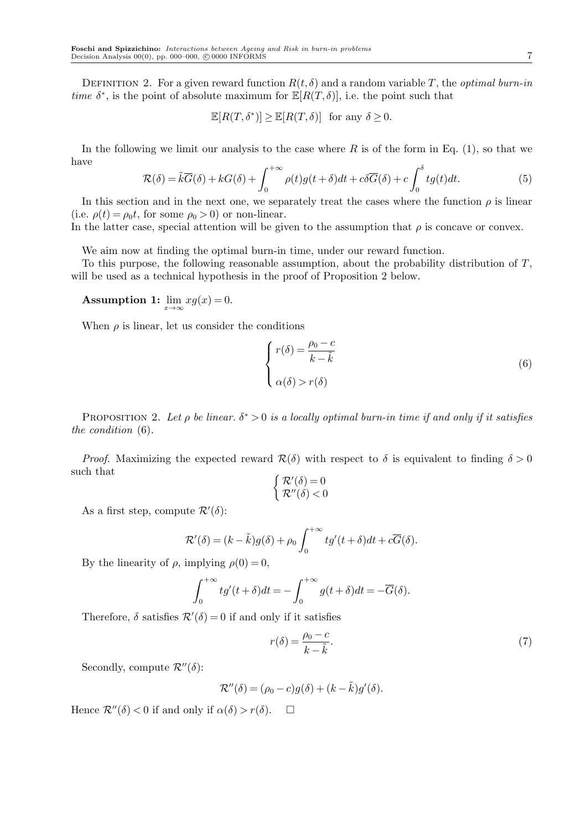DEFINITION 2. For a given reward function  $R(t, \delta)$  and a random variable *T*, the *optimal burn-in time*  $\delta^*$ , is the point of absolute maximum for  $\mathbb{E}[R(T,\delta)]$ , i.e. the point such that

$$
\mathbb{E}[R(T,\delta^*)] \ge \mathbb{E}[R(T,\delta)] \text{ for any } \delta \ge 0.
$$

In the following we limit our analysis to the case where *R* is of the form in Eq. (1), so that we have

$$
\mathcal{R}(\delta) = \tilde{k}\overline{G}(\delta) + kG(\delta) + \int_0^{+\infty} \rho(t)g(t+\delta)dt + c\delta\overline{G}(\delta) + c\int_0^{\delta} tg(t)dt.
$$
 (5)

In this section and in the next one, we separately treat the cases where the function  $\rho$  is linear (i.e.  $\rho(t) = \rho_0 t$ , for some  $\rho_0 > 0$ ) or non-linear.

In the latter case, special attention will be given to the assumption that  $\rho$  is concave or convex.

We aim now at finding the optimal burn-in time, under our reward function.

To this purpose, the following reasonable assumption, about the probability distribution of *T*, will be used as a technical hypothesis in the proof of Proposition 2 below.

**Assumption 1:** 
$$
\lim_{x \to \infty} xg(x) = 0
$$
.

When  $\rho$  is linear, let us consider the conditions

$$
\begin{cases}\nr(\delta) = \frac{\rho_0 - c}{k - \tilde{k}} \\
\alpha(\delta) > r(\delta)\n\end{cases} \tag{6}
$$

PROPOSITION 2. Let  $\rho$  be linear.  $\delta^* > 0$  is a locally optimal burn-in time if and only if it satisfies *the condition* (6)*.*

*Proof.* Maximizing the expected reward  $\mathcal{R}(\delta)$  with respect to  $\delta$  is equivalent to finding  $\delta > 0$ such that

$$
\begin{cases} \mathcal{R}'(\delta) = 0\\ \mathcal{R}''(\delta) < 0 \end{cases}
$$

As a first step, compute  $\mathcal{R}'(\delta)$ :

$$
\mathcal{R}'(\delta) = (k - \tilde{k})g(\delta) + \rho_0 \int_0^{+\infty} tg'(t + \delta)dt + c\overline{G}(\delta).
$$

By the linearity of  $\rho$ , implying  $\rho(0) = 0$ ,

$$
\int_0^{+\infty} t g'(t+\delta) dt = -\int_0^{+\infty} g(t+\delta) dt = -\overline{G}(\delta).
$$

Therefore,  $\delta$  satisfies  $\mathcal{R}'(\delta) = 0$  if and only if it satisfies

$$
r(\delta) = \frac{\rho_0 - c}{k - \tilde{k}}.\tag{7}
$$

Secondly, compute  $\mathcal{R}''(\delta)$ :

$$
\mathcal{R}''(\delta) = (\rho_0 - c)g(\delta) + (k - \tilde{k})g'(\delta).
$$

Hence  $\mathcal{R}''(\delta) < 0$  if and only if  $\alpha(\delta) > r(\delta)$ .  $\Box$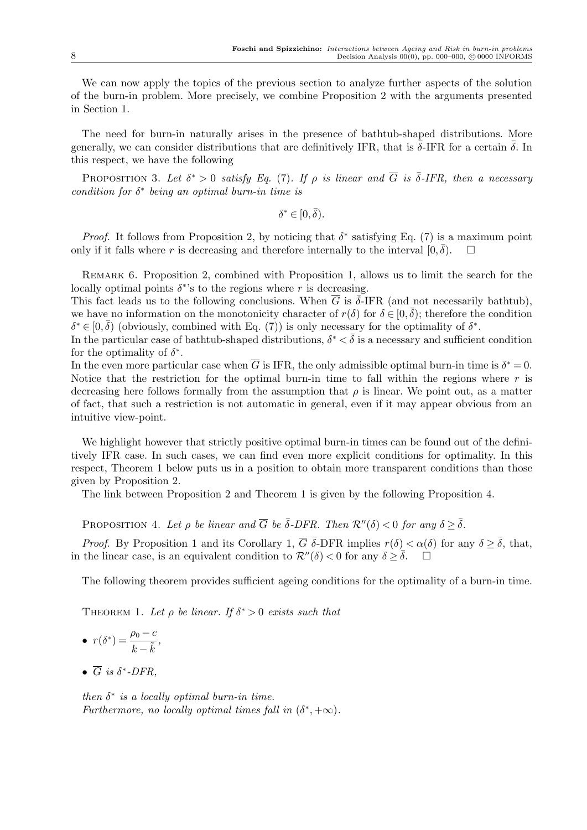We can now apply the topics of the previous section to analyze further aspects of the solution of the burn-in problem. More precisely, we combine Proposition 2 with the arguments presented in Section 1.

The need for burn-in naturally arises in the presence of bathtub-shaped distributions. More generally, we can consider distributions that are definitively IFR, that is  $\bar{\delta}$ -IFR for a certain  $\bar{\delta}$ . In this respect, we have the following

PROPOSITION 3. Let  $\delta^* > 0$  satisfy Eq. (7). If  $\rho$  is linear and  $\overline{G}$  is  $\overline{\delta}$ -IFR, then a necessary *condition for δ ∗ being an optimal burn-in time is*

 $\delta^* \in [0, \bar{\delta}).$ 

*Proof.* It follows from Proposition 2, by noticing that  $\delta^*$  satisfying Eq. (7) is a maximum point only if it falls where *r* is decreasing and therefore internally to the interval  $[0, \bar{\delta})$ .  $\square$ 

REMARK 6. Proposition 2, combined with Proposition 1, allows us to limit the search for the locally optimal points  $\delta^*$ 's to the regions where *r* is decreasing.

This fact leads us to the following conclusions. When  $\overline{G}$  is  $\overline{\delta}$ -IFR (and not necessarily bathtub), we have no information on the monotonicity character of  $r(\delta)$  for  $\delta \in [0, \bar{\delta})$ ; therefore the condition  $\delta^* \in [0, \bar{\delta})$  (obviously, combined with Eq. (7)) is only necessary for the optimality of  $\delta^*$ .

In the particular case of bathtub-shaped distributions,  $\delta^* < \bar{\delta}$  is a necessary and sufficient condition for the optimality of  $\delta^*$ .

In the even more particular case when  $\overline{G}$  is IFR, the only admissible optimal burn-in time is  $\delta^* = 0$ . Notice that the restriction for the optimal burn-in time to fall within the regions where *r* is decreasing here follows formally from the assumption that  $\rho$  is linear. We point out, as a matter of fact, that such a restriction is not automatic in general, even if it may appear obvious from an intuitive view-point.

We highlight however that strictly positive optimal burn-in times can be found out of the definitively IFR case. In such cases, we can find even more explicit conditions for optimality. In this respect, Theorem 1 below puts us in a position to obtain more transparent conditions than those given by Proposition 2.

The link between Proposition 2 and Theorem 1 is given by the following Proposition 4.

PROPOSITION 4. Let  $\rho$  be linear and  $\overline{G}$  be  $\overline{\delta}$ -DFR. Then  $\mathcal{R}''(\delta) < 0$  for any  $\delta > \overline{\delta}$ .

*Proof.* By Proposition 1 and its Corollary 1,  $\overline{G}$   $\overline{\delta}$ -DFR implies  $r(\delta) < \alpha(\delta)$  for any  $\delta \geq \overline{\delta}$ , that, in the linear case, is an equivalent condition to  $\mathcal{R}''(\delta) < 0$  for any  $\delta > \overline{\delta}$ .

The following theorem provides sufficient ageing conditions for the optimality of a burn-in time.

THEOREM 1. Let  $\rho$  be linear. If  $\delta^* > 0$  exists such that

• 
$$
r(\delta^*) = \frac{\rho_0 - c}{k - \tilde{k}},
$$

 $\bullet$   $\overline{G}$  *is*  $\delta^*$ -DFR,

*then*  $\delta^*$  *is a locally optimal burn-in time. Furthermore, no locally optimal times fall in*  $(\delta^*, +\infty)$ *.*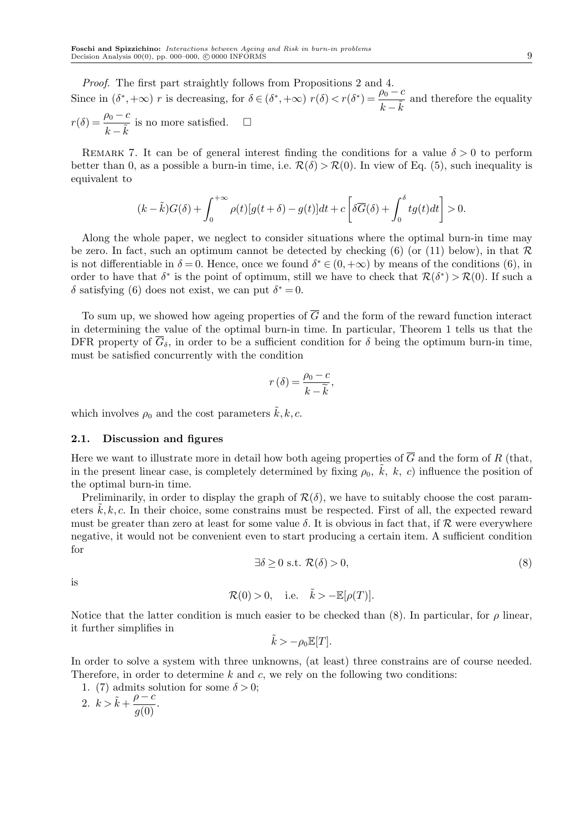*Proof.* The first part straightly follows from Propositions 2 and 4. Since in  $(\delta^*, +\infty)$  *r* is decreasing, for  $\delta \in (\delta^*, +\infty)$   $r(\delta) < r(\delta^*) = \frac{\rho_0 - c}{\delta}$  $\frac{\mu_0 - \bar{\epsilon}}{k - \bar{k}}$  and therefore the equality  $r(\delta) = \frac{\rho_0 - c}{\tilde{\sigma}}$  $\frac{\mu_0 - \sigma}{k - \tilde{k}}$  is no more satisfied.  $\Box$ 

REMARK 7. It can be of general interest finding the conditions for a value  $\delta > 0$  to perform better than 0, as a possible a burn-in time, i.e.  $\mathcal{R}(\delta) > \mathcal{R}(0)$ . In view of Eq. (5), such inequality is equivalent to

$$
(k - \tilde{k})G(\delta) + \int_0^{+\infty} \rho(t)[g(t + \delta) - g(t)]dt + c\left[\delta \overline{G}(\delta) + \int_0^{\delta} tg(t)dt\right] > 0.
$$

Along the whole paper, we neglect to consider situations where the optimal burn-in time may be zero. In fact, such an optimum cannot be detected by checking (6) (or (11) below), in that *R* is not differentiable in  $\delta = 0$ . Hence, once we found  $\delta^* \in (0, +\infty)$  by means of the conditions (6), in order to have that  $\delta^*$  is the point of optimum, still we have to check that  $\mathcal{R}(\delta^*) > \mathcal{R}(0)$ . If such a *δ* satisfying (6) does not exist, we can put  $δ^* = 0$ .

To sum up, we showed how ageing properties of  $\overline{G}$  and the form of the reward function interact in determining the value of the optimal burn-in time. In particular, Theorem 1 tells us that the DFR property of  $\overline{G}_\delta$ , in order to be a sufficient condition for  $\delta$  being the optimum burn-in time, must be satisfied concurrently with the condition

$$
r\left(\delta\right) = \frac{\rho_0 - c}{k - \widetilde{k}},
$$

which involves  $\rho_0$  and the cost parameters  $\hat{k}, k, c$ .

#### **2.1. Discussion and figures**

Here we want to illustrate more in detail how both ageing properties of  $\overline{G}$  and the form of *R* (that, in the present linear case, is completely determined by fixing  $\rho_0$ ,  $\tilde{k}$ ,  $k$ , c) influence the position of the optimal burn-in time.

Preliminarily, in order to display the graph of  $\mathcal{R}(\delta)$ , we have to suitably choose the cost parameters  $k, k, c$ . In their choice, some constrains must be respected. First of all, the expected reward must be greater than zero at least for some value *δ*. It is obvious in fact that, if *R* were everywhere negative, it would not be convenient even to start producing a certain item. A sufficient condition for

$$
\exists \delta \ge 0 \text{ s.t. } \mathcal{R}(\delta) > 0,\tag{8}
$$

is

$$
\mathcal{R}(0) > 0, \quad \text{i.e.} \quad \tilde{k} > -\mathbb{E}[\rho(T)].
$$

Notice that the latter condition is much easier to be checked than (8). In particular, for  $\rho$  linear, it further simplifies in

$$
\tilde{k} > -\rho_0 \mathbb{E}[T].
$$

In order to solve a system with three unknowns, (at least) three constrains are of course needed. Therefore, in order to determine *k* and *c*, we rely on the following two conditions:

1. (7) admits solution for some 
$$
\delta > 0
$$
;  
2.  $k > \tilde{k} + \frac{\rho - c}{g(0)}$ .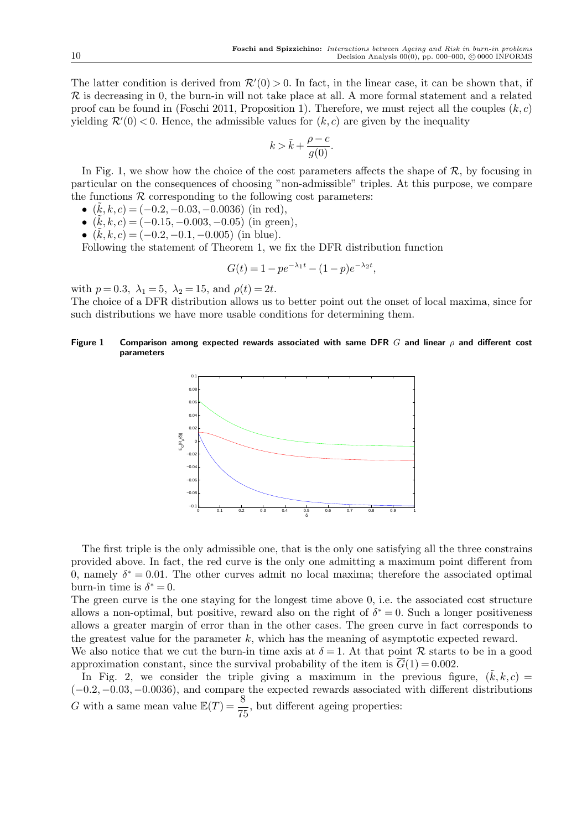The latter condition is derived from  $\mathcal{R}'(0) > 0$ . In fact, in the linear case, it can be shown that, if *R* is decreasing in 0, the burn-in will not take place at all. A more formal statement and a related proof can be found in (Foschi 2011, Proposition 1). Therefore, we must reject all the couples  $(k, c)$ yielding  $\mathcal{R}'(0) < 0$ . Hence, the admissible values for  $(k, c)$  are given by the inequality

$$
k > \tilde{k} + \frac{\rho - c}{g(0)}.
$$

In Fig. 1, we show how the choice of the cost parameters affects the shape of  $\mathcal{R}$ , by focusing in particular on the consequences of choosing "non-admissible" triples. At this purpose, we compare the functions  $R$  corresponding to the following cost parameters:

- *•* ( ˜*k, k, c*) = (*−*0*.*2*,−*0*.*03*,−*0*.*0036) (in red),
- *•* ( ˜*k, k, c*) = (*−*0*.*15*,−*0*.*003*,−*0*.*05) (in green),
- *•* ( ˜*k, k, c*) = (*−*0*.*2*,−*0*.*1*,−*0*.*005) (in blue).

Following the statement of Theorem 1, we fix the DFR distribution function

$$
G(t) = 1 - pe^{-\lambda_1 t} - (1 - p)e^{-\lambda_2 t},
$$

with  $p = 0.3$ ,  $\lambda_1 = 5$ ,  $\lambda_2 = 15$ , and  $\rho(t) = 2t$ .

The choice of a DFR distribution allows us to better point out the onset of local maxima, since for such distributions we have more usable conditions for determining them.

#### **Figure 1 Comparison among expected rewards associated with same DFR** *G* **and linear** *ρ* **and different cost parameters**



The first triple is the only admissible one, that is the only one satisfying all the three constrains provided above. In fact, the red curve is the only one admitting a maximum point different from 0, namely  $\delta^* = 0.01$ . The other curves admit no local maxima; therefore the associated optimal burn-in time is  $\delta^* = 0$ .

The green curve is the one staying for the longest time above 0, i.e. the associated cost structure allows a non-optimal, but positive, reward also on the right of  $\delta^* = 0$ . Such a longer positiveness allows a greater margin of error than in the other cases. The green curve in fact corresponds to the greatest value for the parameter *k*, which has the meaning of asymptotic expected reward.

We also notice that we cut the burn-in time axis at  $\delta = 1$ . At that point R starts to be in a good approximation constant, since the survival probability of the item is  $\overline{G}(1) = 0.002$ .

In Fig. 2, we consider the triple giving a maximum in the previous figure,  $(\tilde{k}, k, c)$  = (*−*0*.*2*,−*0*.*03*,−*0*.*0036), and compare the expected rewards associated with different distributions *G* with a same mean value  $\mathbb{E}(T) = \frac{8}{75}$ , but different ageing properties: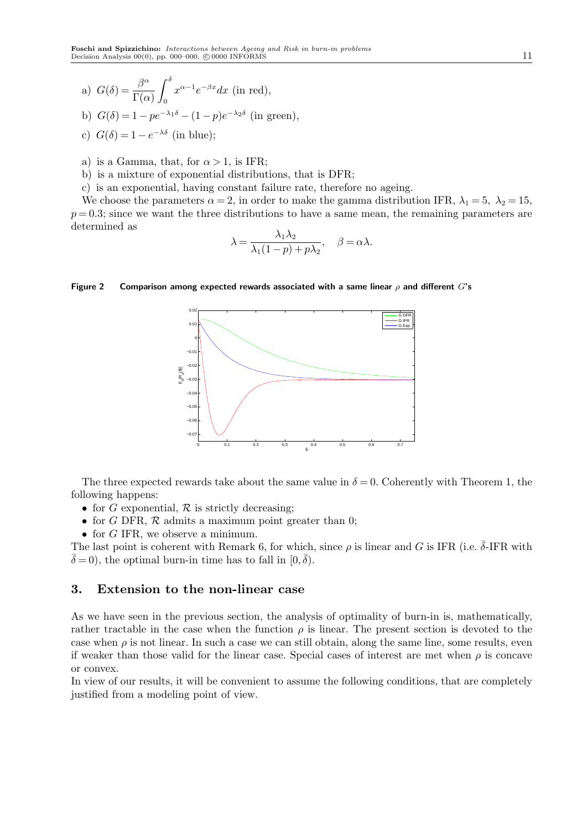a) 
$$
G(\delta) = \frac{\beta^{\alpha}}{\Gamma(\alpha)} \int_0^{\delta} x^{\alpha-1} e^{-\beta x} dx
$$
 (in red),

b) 
$$
G(\delta) = 1 - pe^{-\lambda_1 \delta} - (1 - p)e^{-\lambda_2 \delta}
$$
 (in green),

- c)  $G(\delta) = 1 e^{-\lambda \delta}$  (in blue);
- a) is a Gamma, that, for  $\alpha > 1$ , is IFR;
- b) is a mixture of exponential distributions, that is DFR;
- c) is an exponential, having constant failure rate, therefore no ageing.

We choose the parameters  $\alpha = 2$ , in order to make the gamma distribution IFR,  $\lambda_1 = 5$ ,  $\lambda_2 = 15$ ,  $p = 0.3$ ; since we want the three distributions to have a same mean, the remaining parameters are determined as

$$
\lambda = \frac{\lambda_1 \lambda_2}{\lambda_1 (1 - p) + p \lambda_2}, \quad \beta = \alpha \lambda.
$$

#### **Figure 2 Comparison among expected rewards associated with a same linear** *ρ* **and different** *G***'s**



The three expected rewards take about the same value in  $\delta = 0$ . Coherently with Theorem 1, the following happens:

- for *G* exponential,  $\mathcal R$  is strictly decreasing;
- *•* for *G* DFR, *R* admits a maximum point greater than 0;
- *•* for *G* IFR, we observe a minimum.

The last point is coherent with Remark 6, for which, since  $\rho$  is linear and *G* is IFR (i.e.  $\bar{\delta}$ -IFR with  $\bar{\delta} = 0$ , the optimal burn-in time has to fall in  $[0, \bar{\delta})$ .

## **3. Extension to the non-linear case**

As we have seen in the previous section, the analysis of optimality of burn-in is, mathematically, rather tractable in the case when the function  $\rho$  is linear. The present section is devoted to the case when  $\rho$  is not linear. In such a case we can still obtain, along the same line, some results, even if weaker than those valid for the linear case. Special cases of interest are met when *ρ* is concave or convex.

In view of our results, it will be convenient to assume the following conditions, that are completely justified from a modeling point of view.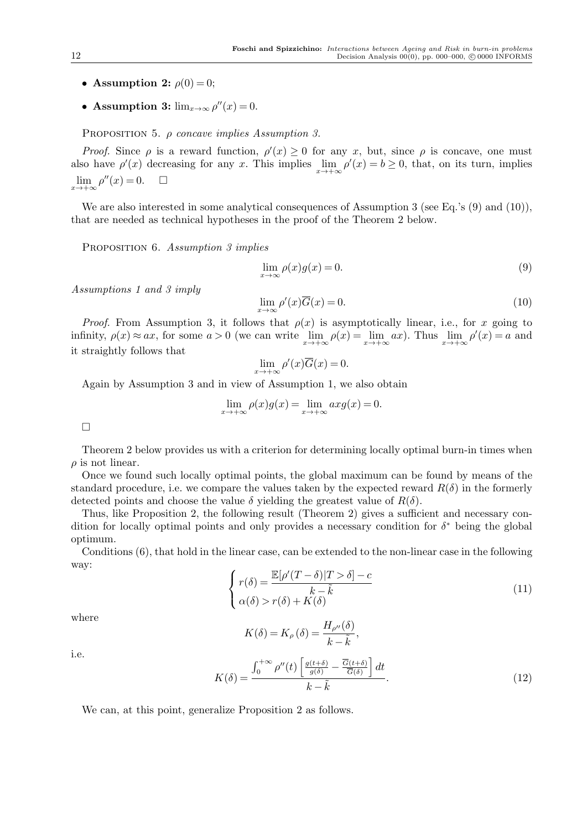- **Assumption 2:**  $\rho(0) = 0$ ;
- **Assumption 3:**  $\lim_{x\to\infty} \rho''(x) = 0$ .

Proposition 5. *ρ concave implies Assumption 3.*

*Proof.* Since  $\rho$  is a reward function,  $\rho'(x) \geq 0$  for any *x*, but, since  $\rho$  is concave, one must also have  $\rho'(x)$  decreasing for any *x*. This implies  $\lim_{x \to +\infty} \rho'(x) = b \ge 0$ , that, on its turn, implies  $\lim_{x \to +\infty} \rho''(x) = 0.$   $\Box$ 

We are also interested in some analytical consequences of Assumption 3 (see Eq.'s (9) and (10)), that are needed as technical hypotheses in the proof of the Theorem 2 below.

Proposition 6. *Assumption 3 implies*

$$
\lim_{x \to \infty} \rho(x)g(x) = 0. \tag{9}
$$

*Assumptions 1 and 3 imply*

$$
\lim_{x \to \infty} \rho'(x)\overline{G}(x) = 0. \tag{10}
$$

*Proof.* From Assumption 3, it follows that  $\rho(x)$  is asymptotically linear, i.e., for *x* going to infinity,  $\rho(x) \approx ax$ , for some  $a > 0$  (we can write  $\lim_{x \to +\infty} \rho(x) = \lim_{x \to +\infty} ax$ ). Thus  $\lim_{x \to +\infty} \rho'(x) = a$  and it straightly follows that

$$
\lim_{x \to +\infty} \rho'(x)\overline{G}(x) = 0.
$$

Again by Assumption 3 and in view of Assumption 1, we also obtain

$$
\lim_{x \to +\infty} \rho(x)g(x) = \lim_{x \to +\infty} axg(x) = 0.
$$

 $\Box$ 

Theorem 2 below provides us with a criterion for determining locally optimal burn-in times when  $\rho$  is not linear.

Once we found such locally optimal points, the global maximum can be found by means of the standard procedure, i.e. we compare the values taken by the expected reward  $R(\delta)$  in the formerly detected points and choose the value  $\delta$  yielding the greatest value of  $R(\delta)$ .

Thus, like Proposition 2, the following result (Theorem 2) gives a sufficient and necessary condition for locally optimal points and only provides a necessary condition for *δ <sup>∗</sup>* being the global optimum.

Conditions (6), that hold in the linear case, can be extended to the non-linear case in the following way:

$$
\begin{cases}\nr(\delta) = \frac{\mathbb{E}[\rho'(T-\delta)|T>\delta]-c}{k-\tilde{k}} \\
\alpha(\delta) > r(\delta) + K(\delta)\n\end{cases} (11)
$$

where

$$
K(\delta) = K_{\rho}(\delta) = \frac{H_{\rho''}(\delta)}{k - \tilde{k}},
$$

i.e.

$$
K(\delta) = \frac{\int_0^{+\infty} \rho''(t) \left[ \frac{g(t+\delta)}{g(\delta)} - \frac{\overline{G}(t+\delta)}{\overline{G}(\delta)} \right] dt}{k - \tilde{k}}.
$$
\n(12)

We can, at this point, generalize Proposition 2 as follows.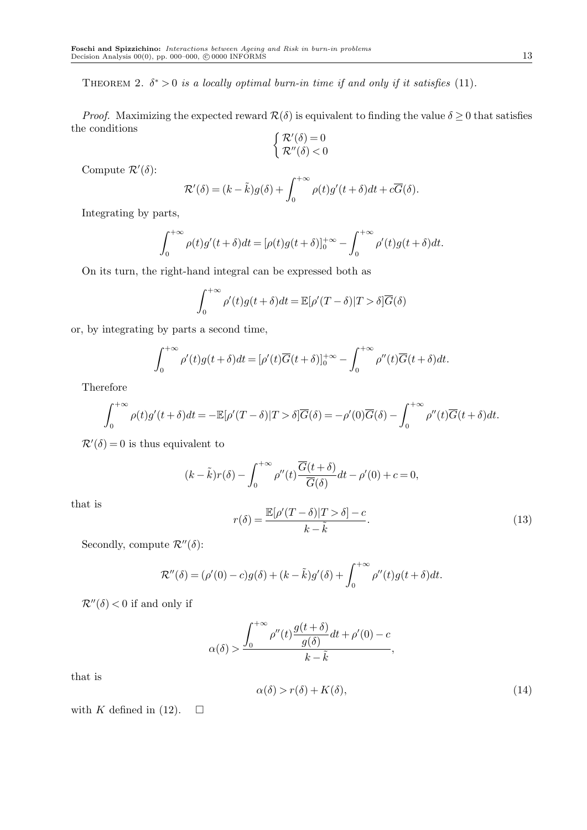THEOREM 2.  $\delta^* > 0$  *is a locally optimal burn-in time if and only if it satisfies* (11).

*Proof.* Maximizing the expected reward  $\mathcal{R}(\delta)$  is equivalent to finding the value  $\delta \geq 0$  that satisfies the conditions

$$
\left\{ \begin{array}{l} \mathcal{R}'(\delta) = 0 \\ \mathcal{R}''(\delta) < 0 \end{array} \right.
$$

Compute  $\mathcal{R}'(\delta)$ :

$$
\mathcal{R}'(\delta) = (k - \tilde{k})g(\delta) + \int_0^{+\infty} \rho(t)g'(t + \delta)dt + c\overline{G}(\delta).
$$

Integrating by parts,

$$
\int_0^{+\infty} \rho(t)g'(t+\delta)dt = [\rho(t)g(t+\delta)]_0^{+\infty} - \int_0^{+\infty} \rho'(t)g(t+\delta)dt.
$$

On its turn, the right-hand integral can be expressed both as

$$
\int_0^{+\infty} \rho'(t)g(t+\delta)dt = \mathbb{E}[\rho'(T-\delta)|T>\delta]\overline{G}(\delta)
$$

or, by integrating by parts a second time,

$$
\int_0^{+\infty} \rho'(t)g(t+\delta)dt = [\rho'(t)\overline{G}(t+\delta)]_0^{+\infty} - \int_0^{+\infty} \rho''(t)\overline{G}(t+\delta)dt.
$$

Therefore

$$
\int_0^{+\infty} \rho(t)g'(t+\delta)dt = -\mathbb{E}[\rho'(T-\delta)|T>\delta]\overline{G}(\delta) = -\rho'(0)\overline{G}(\delta) - \int_0^{+\infty} \rho''(t)\overline{G}(t+\delta)dt.
$$

 $\mathcal{R}'(\delta) = 0$  is thus equivalent to

$$
(k - \tilde{k})r(\delta) - \int_0^{+\infty} \rho''(t) \frac{\overline{G}(t + \delta)}{\overline{G}(\delta)} dt - \rho'(0) + c = 0,
$$

that is

$$
r(\delta) = \frac{\mathbb{E}[\rho'(T-\delta)|T>\delta]-c}{k-\tilde{k}}.\tag{13}
$$

Secondly, compute  $\mathcal{R}^{\prime\prime}(\delta)$ :

$$
\mathcal{R}''(\delta) = (\rho'(0) - c)g(\delta) + (k - \tilde{k})g'(\delta) + \int_0^{+\infty} \rho''(t)g(t + \delta)dt.
$$

 $\mathcal{R}''(\delta)$  < 0 if and only if

$$
\alpha(\delta) > \frac{\displaystyle \int_0^{+\infty} \rho''(t)\frac{g(t+\delta)}{g(\delta)}dt + \rho'(0) - c}{k - \tilde{k}},
$$

that is

$$
\alpha(\delta) > r(\delta) + K(\delta),\tag{14}
$$

with *K* defined in (12).  $\square$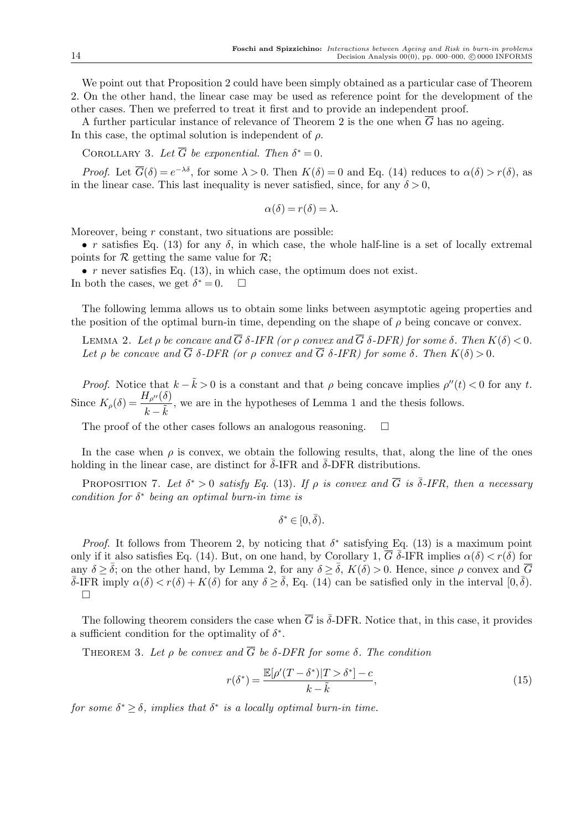We point out that Proposition 2 could have been simply obtained as a particular case of Theorem 2. On the other hand, the linear case may be used as reference point for the development of the other cases. Then we preferred to treat it first and to provide an independent proof.

A further particular instance of relevance of Theorem 2 is the one when  $\overline{G}$  has no ageing. In this case, the optimal solution is independent of *ρ*.

COROLLARY 3. Let  $\overline{G}$  be exponential. Then  $\delta^* = 0$ .

*Proof.* Let  $\overline{G}(\delta) = e^{-\lambda \delta}$ , for some  $\lambda > 0$ . Then  $K(\delta) = 0$  and Eq. (14) reduces to  $\alpha(\delta) > r(\delta)$ , as in the linear case. This last inequality is never satisfied, since, for any  $\delta > 0$ ,

$$
\alpha(\delta) = r(\delta) = \lambda.
$$

Moreover, being *r* constant, two situations are possible:

• *r* satisfies Eq. (13) for any  $\delta$ , in which case, the whole half-line is a set of locally extremal points for  $R$  getting the same value for  $R$ ;

*• r* never satisfies Eq. (13), in which case, the optimum does not exist. In both the cases, we get  $\delta^* = 0$ .  $\Box$ 

The following lemma allows us to obtain some links between asymptotic ageing properties and the position of the optimal burn-in time, depending on the shape of  $\rho$  being concave or convex.

**LEMMA 2.** Let *ρ* be concave and  $\overline{G}$  δ-IFR (or *ρ* convex and  $\overline{G}$  δ-DFR) for some δ. Then  $K(δ) < 0$ . *Let ρ be concave and*  $\overline{G}$  *δ-DFR* (*or ρ convex and*  $\overline{G}$  *δ-IFR*) for *some δ. Then*  $K(\delta) > 0$ *.* 

*Proof.* Notice that  $k - \tilde{k} > 0$  is a constant and that  $\rho$  being concave implies  $\rho''(t) < 0$  for any *t*. Since  $K_{\rho}(\delta) = \frac{H_{\rho''}(\delta)}{I_{\rho''}(\delta)}$  $\frac{P_{P} \cdot (0)}{k - \tilde{k}}$ , we are in the hypotheses of Lemma 1 and the thesis follows.

The proof of the other cases follows an analogous reasoning.  $\Box$ 

In the case when  $\rho$  is convex, we obtain the following results, that, along the line of the ones holding in the linear case, are distinct for  $\delta$ -IFR and  $\delta$ -DFR distributions.

PROPOSITION 7. Let  $\delta^* > 0$  satisfy Eq. (13). If  $\rho$  is convex and  $\overline{G}$  is  $\overline{\delta}$ -IFR, then a necessary *condition for δ ∗ being an optimal burn-in time is*

$$
\delta^* \in [0, \bar{\delta}).
$$

*Proof.* It follows from Theorem 2, by noticing that  $\delta^*$  satisfying Eq. (13) is a maximum point only if it also satisfies Eq. (14). But, on one hand, by Corollary 1,  $\overline{G}$   $\overline{\delta}$ -IFR implies  $\alpha(\delta) < r(\delta)$  for any  $\delta$  *>*  $\bar{\delta}$ ; on the other hand, by Lemma 2, for any  $\delta$  *>*  $\bar{\delta}$ ,  $K(\delta)$  *>* 0. Hence, since  $\rho$  convex and  $\bar{G}$  $\overline{\delta}$ -IFR imply  $\alpha(\delta) < r(\delta) + K(\delta)$  for any  $\delta \geq \overline{\delta}$ , Eq. (14) can be satisfied only in the interval  $[0, \overline{\delta})$ .  $\Box$ 

The following theorem considers the case when  $\overline{G}$  is  $\overline{\delta}$ -DFR. Notice that, in this case, it provides a sufficient condition for the optimality of  $\delta^*$ .

THEOREM 3. Let  $\rho$  be convex and  $\overline{G}$  be  $\delta$ -DFR for some  $\delta$ . The condition

$$
r(\delta^*) = \frac{\mathbb{E}[\rho'(T - \delta^*)|T > \delta^*] - c}{k - \tilde{k}},\tag{15}
$$

*for some*  $\delta^* \geq \delta$ *, implies that*  $\delta^*$  *is a locally optimal burn-in time.*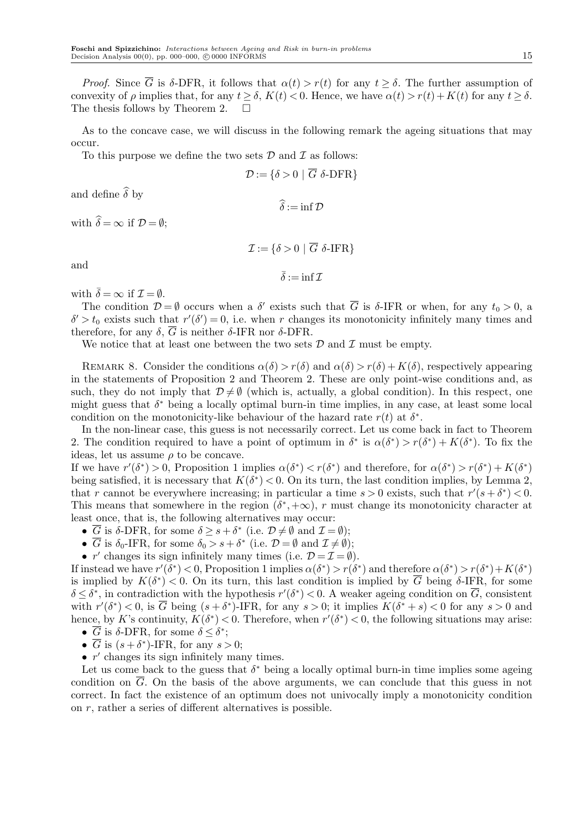*Proof.* Since  $\overline{G}$  is  $\delta$ -DFR, it follows that  $\alpha(t) > r(t)$  for any  $t > \delta$ . The further assumption of convexity of  $\rho$  implies that, for any  $t > \delta$ ,  $K(t) < 0$ . Hence, we have  $\alpha(t) > r(t) + K(t)$  for any  $t > \delta$ . The thesis follows by Theorem 2.  $\Box$ 

As to the concave case, we will discuss in the following remark the ageing situations that may occur.

To this purpose we define the two sets *D* and *I* as follows:

$$
\mathcal{D} := \{ \delta > 0 \mid \overline{G} \, \, \delta\text{-DFR} \}
$$

and define  $\widehat{\delta}$  by

 $\widehat{\delta} := \inf \mathcal{D}$ 

with  $\widehat{\delta} = \infty$  if  $\mathcal{D} = \emptyset$ ;

$$
\mathcal{I}\,{:=}\,\{\delta\,{>}\,0\,\,|\,\,\overline{G}\,\,\delta\text{-IFR}\}
$$

and

 $\bar{\delta}$  := inf  $\tau$ 

with  $\bar{\delta} = \infty$  if  $\mathcal{I} = \emptyset$ .

The condition  $\mathcal{D} = \emptyset$  occurs when a  $\delta'$  exists such that  $\overline{G}$  is  $\delta$ -IFR or when, for any  $t_0 > 0$ , a  $\delta' > t_0$  exists such that  $r'(\delta') = 0$ , i.e. when *r* changes its monotonicity infinitely many times and therefore, for any *δ*, *G* is neither *δ*-IFR nor *δ*-DFR.

We notice that at least one between the two sets  $\mathcal D$  and  $\mathcal I$  must be empty.

REMARK 8. Consider the conditions  $\alpha(\delta) > r(\delta)$  and  $\alpha(\delta) > r(\delta) + K(\delta)$ , respectively appearing in the statements of Proposition 2 and Theorem 2. These are only point-wise conditions and, as such, they do not imply that  $\mathcal{D} \neq \emptyset$  (which is, actually, a global condition). In this respect, one might guess that *δ <sup>∗</sup>* being a locally optimal burn-in time implies, in any case, at least some local condition on the monotonicity-like behaviour of the hazard rate  $r(t)$  at  $\delta^*$ .

In the non-linear case, this guess is not necessarily correct. Let us come back in fact to Theorem 2. The condition required to have a point of optimum in  $\delta^*$  is  $\alpha(\delta^*) > r(\delta^*) + K(\delta^*)$ . To fix the ideas, let us assume  $\rho$  to be concave.

If we have  $r'(\delta^*) > 0$ , Proposition 1 implies  $\alpha(\delta^*) < r(\delta^*)$  and therefore, for  $\alpha(\delta^*) > r(\delta^*) + K(\delta^*)$ being satisfied, it is necessary that  $K(\delta^*)$  < 0. On its turn, the last condition implies, by Lemma 2, that *r* cannot be everywhere increasing; in particular a time  $s > 0$  exists, such that  $r'(s + \delta^*) < 0$ . This means that somewhere in the region  $(\delta^*, +\infty)$ , *r* must change its monotonicity character at least once, that is, the following alternatives may occur:

- $\overline{G}$  is  $\delta$ -DFR, for some  $\delta \geq s + \delta^*$  (i.e.  $\mathcal{D} \neq \emptyset$  and  $\mathcal{I} = \emptyset$ );
- $\overline{G}$  is  $\delta_0$ -IFR, for some  $\delta_0 > s + \delta^*$  (i.e.  $\mathcal{D} = \emptyset$  and  $\mathcal{I} \neq \emptyset$ );
- *r'* changes its sign infinitely many times (i.e.  $\mathcal{D} = \mathcal{I} = \emptyset$ ).

If instead we have  $r'(\delta^*)$  < 0, Proposition 1 implies  $\alpha(\delta^*) > r(\delta^*)$  and therefore  $\alpha(\delta^*) > r(\delta^*) + K(\delta^*)$ is implied by  $K(\delta^*)$  < 0. On its turn, this last condition is implied by  $\overline{G}$  being  $\delta$ -IFR, for some  $\delta \leq \delta^*$ , in contradiction with the hypothesis  $r'(\delta^*)$  < 0. A weaker ageing condition on  $\overline{G}$ , consistent with  $r'(\delta^*) < 0$ , is  $\overline{G}$  being  $(s + \delta^*)$ -IFR, for any  $s > 0$ ; it implies  $K(\delta^* + s) < 0$  for any  $s > 0$  and hence, by *K*'s continuity,  $K(\delta^*)$  < 0. Therefore, when  $r'(\delta^*)$  < 0, the following situations may arise:

- $\overline{G}$  is  $\delta$ -DFR, for some  $\delta \leq \delta^*$ ;
- $\overline{G}$  is  $(s + \delta^*)$ -IFR, for any  $s > 0$ ;
- *• r ′* changes its sign infinitely many times.

Let us come back to the guess that  $\delta^*$  being a locally optimal burn-in time implies some ageing condition on *G*. On the basis of the above arguments, we can conclude that this guess in not correct. In fact the existence of an optimum does not univocally imply a monotonicity condition on *r*, rather a series of different alternatives is possible.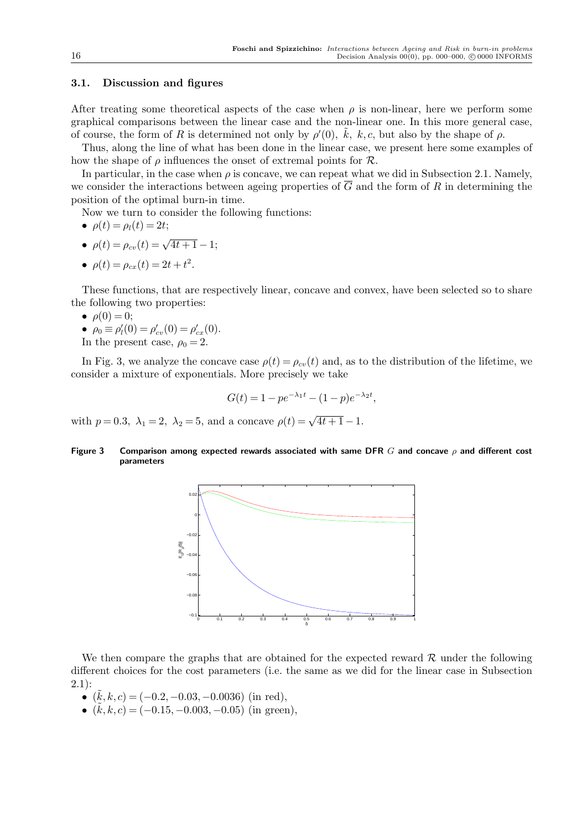## **3.1. Discussion and figures**

After treating some theoretical aspects of the case when  $\rho$  is non-linear, here we perform some graphical comparisons between the linear case and the non-linear one. In this more general case, of course, the form of *R* is determined not only by  $\rho'(0)$ ,  $\tilde{k}$ ,  $k$ , c, but also by the shape of  $\rho$ .

Thus, along the line of what has been done in the linear case, we present here some examples of how the shape of  $\rho$  influences the onset of extremal points for  $\mathcal{R}$ .

In particular, in the case when  $\rho$  is concave, we can repeat what we did in Subsection 2.1. Namely, we consider the interactions between ageing properties of  $\overline{G}$  and the form of *R* in determining the position of the optimal burn-in time.

Now we turn to consider the following functions:

$$
\bullet \ \rho(t) = \rho_l(t) = 2t;
$$

- $\rho(t) = \rho_{cv}(t) = \sqrt{4t+1} 1;$
- $\rho(t) = \rho_{cx}(t) = 2t + t^2$ .

These functions, that are respectively linear, concave and convex, have been selected so to share the following two properties:

- $\rho(0) = 0;$
- $\rho_0 \equiv \rho'_l(0) = \rho'_{cv}(0) = \rho'_{cx}(0)$ . In the present case,  $\rho_0 = 2$ .

In Fig. 3, we analyze the concave case  $\rho(t) = \rho_{cv}(t)$  and, as to the distribution of the lifetime, we consider a mixture of exponentials. More precisely we take

$$
G(t) = 1 - pe^{-\lambda_1 t} - (1 - p)e^{-\lambda_2 t},
$$

with  $p = 0.3$ ,  $\lambda_1 = 2$ ,  $\lambda_2 = 5$ , and a concave  $\rho(t) = \sqrt{4t + 1} - 1$ .

#### **Figure 3 Comparison among expected rewards associated with same DFR** *G* **and concave** *ρ* **and different cost parameters**



We then compare the graphs that are obtained for the expected reward *R* under the following different choices for the cost parameters (i.e. the same as we did for the linear case in Subsection 2.1):

- *•* ( ˜*k, k, c*) = (*−*0*.*2*,−*0*.*03*,−*0*.*0036) (in red),
- *•* ( ˜*k, k, c*) = (*−*0*.*15*,−*0*.*003*,−*0*.*05) (in green),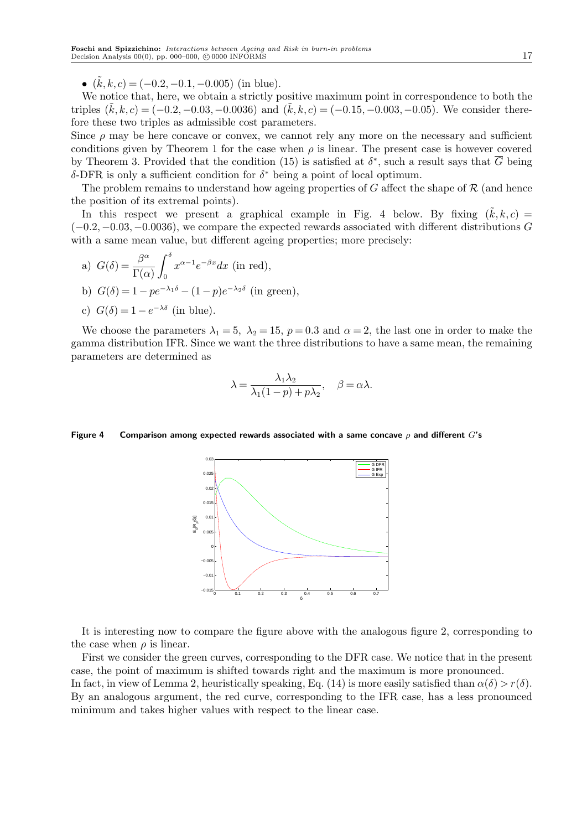*•* ( ˜*k, k, c*) = (*−*0*.*2*,−*0*.*1*,−*0*.*005) (in blue).

We notice that, here, we obtain a strictly positive maximum point in correspondence to both the triples  $(k, k, c) = (-0.2, -0.03, -0.0036)$  and  $(k, k, c) = (-0.15, -0.003, -0.05)$ . We consider therefore these two triples as admissible cost parameters.

Since  $\rho$  may be here concave or convex, we cannot rely any more on the necessary and sufficient conditions given by Theorem 1 for the case when  $\rho$  is linear. The present case is however covered by Theorem 3. Provided that the condition (15) is satisfied at  $\delta^*$ , such a result says that  $\overline{G}$  being *δ*-DFR is only a sufficient condition for *δ <sup>∗</sup>* being a point of local optimum.

The problem remains to understand how ageing properties of *G* affect the shape of *R* (and hence the position of its extremal points).

In this respect we present a graphical example in Fig. 4 below. By fixing  $(\dot{k}, k, c)$ (*−*0*.*2*,−*0*.*03*,−*0*.*0036), we compare the expected rewards associated with different distributions *G* with a same mean value, but different ageing properties; more precisely:

a) 
$$
G(\delta) = \frac{\beta^{\alpha}}{\Gamma(\alpha)} \int_0^{\delta} x^{\alpha-1} e^{-\beta x} dx
$$
 (in red),

b) 
$$
G(\delta) = 1 - pe^{-\lambda_1 \delta} - (1 - p)e^{-\lambda_2 \delta}
$$
 (in green),

c) 
$$
G(\delta) = 1 - e^{-\lambda \delta}
$$
 (in blue).

We choose the parameters  $\lambda_1 = 5$ ,  $\lambda_2 = 15$ ,  $p = 0.3$  and  $\alpha = 2$ , the last one in order to make the gamma distribution IFR. Since we want the three distributions to have a same mean, the remaining parameters are determined as

$$
\lambda = \frac{\lambda_1 \lambda_2}{\lambda_1 (1 - p) + p \lambda_2}, \quad \beta = \alpha \lambda.
$$

#### **Figure 4 Comparison among expected rewards associated with a same concave** *ρ* **and different** *G***'s**



It is interesting now to compare the figure above with the analogous figure 2, corresponding to the case when  $\rho$  is linear.

First we consider the green curves, corresponding to the DFR case. We notice that in the present case, the point of maximum is shifted towards right and the maximum is more pronounced. In fact, in view of Lemma 2, heuristically speaking, Eq. (14) is more easily satisfied than  $\alpha(\delta) > r(\delta)$ . By an analogous argument, the red curve, corresponding to the IFR case, has a less pronounced minimum and takes higher values with respect to the linear case.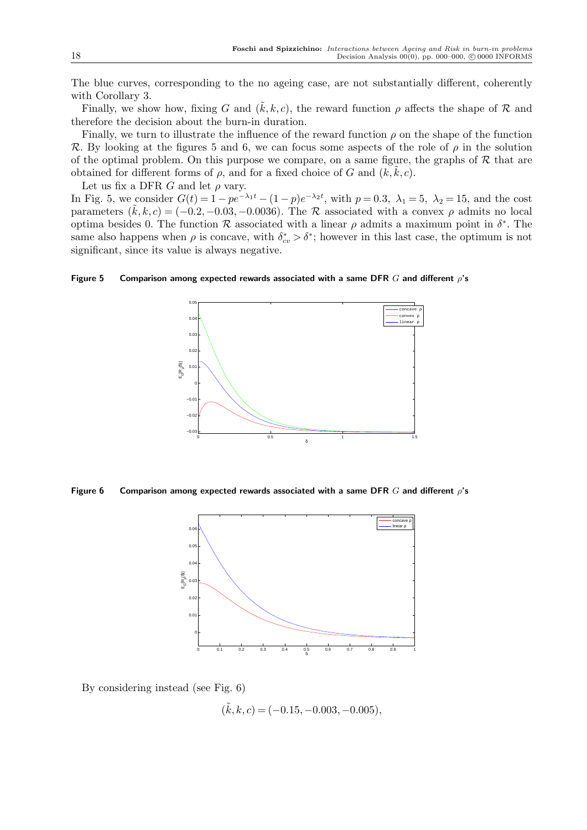The blue curves, corresponding to the no ageing case, are not substantially different, coherently with Corollary 3.

Finally, we show how, fixing *G* and  $(\tilde{k}, k, c)$ , the reward function  $\rho$  affects the shape of  $\mathcal R$  and therefore the decision about the burn-in duration.

Finally, we turn to illustrate the influence of the reward function  $\rho$  on the shape of the function *R*. By looking at the figures 5 and 6, we can focus some aspects of the role of *ρ* in the solution of the optimal problem. On this purpose we compare, on a same figure, the graphs of  $R$  that are obtained for different forms of  $\rho$ , and for a fixed choice of  $G$  and  $(k, k, c)$ .

Let us fix a DFR  $G$  and let  $\rho$  vary.

In Fig. 5, we consider  $G(t) = 1 - pe^{-\lambda_1 t} - (1 - p)e^{-\lambda_2 t}$ , with  $p = 0.3$ ,  $\lambda_1 = 5$ ,  $\lambda_2 = 15$ , and the cost parameters  $(\tilde{k}, k, c) = (-0.2, -0.03, -0.0036)$ . The *R* associated with a convex  $\rho$  admits no local optima besides 0. The function  $R$  associated with a linear  $\rho$  admits a maximum point in  $\delta^*$ . The same also happens when  $\rho$  is concave, with  $\delta_{cv}^* > \delta^*$ ; however in this last case, the optimum is not significant, since its value is always negative.

**Figure 5 Comparison among expected rewards associated with a same DFR** *G* **and different** *ρ***'s**



**Figure 6 Comparison among expected rewards associated with a same DFR** *G* **and different** *ρ***'s**



By considering instead (see Fig. 6)

( ˜*k, k, c*) = (*−*0*.*15*,−*0*.*003*,−*0*.*005)*,*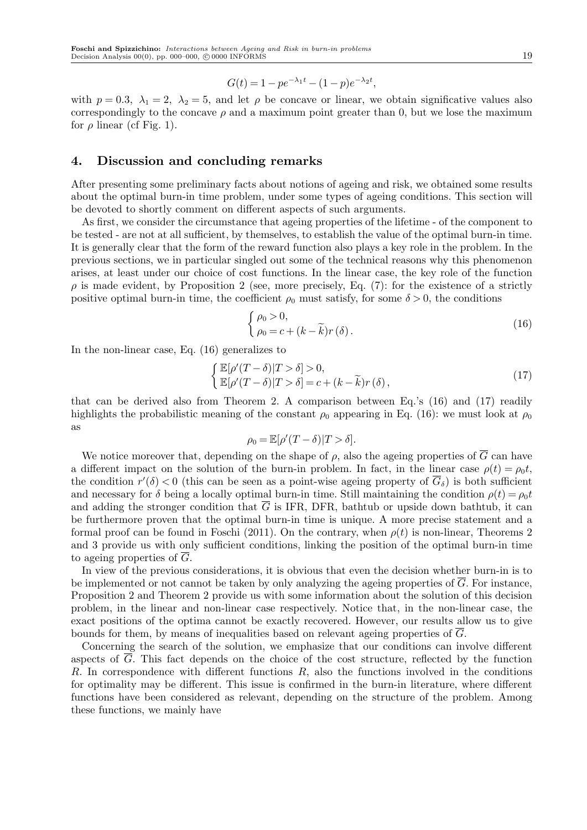$$
G(t) = 1 - pe^{-\lambda_1 t} - (1 - p)e^{-\lambda_2 t},
$$

with  $p = 0.3$ ,  $\lambda_1 = 2$ ,  $\lambda_2 = 5$ , and let  $\rho$  be concave or linear, we obtain significative values also correspondingly to the concave  $\rho$  and a maximum point greater than 0, but we lose the maximum for  $\rho$  linear (cf Fig. 1).

# **4. Discussion and concluding remarks**

After presenting some preliminary facts about notions of ageing and risk, we obtained some results about the optimal burn-in time problem, under some types of ageing conditions. This section will be devoted to shortly comment on different aspects of such arguments.

As first, we consider the circumstance that ageing properties of the lifetime - of the component to be tested - are not at all sufficient, by themselves, to establish the value of the optimal burn-in time. It is generally clear that the form of the reward function also plays a key role in the problem. In the previous sections, we in particular singled out some of the technical reasons why this phenomenon arises, at least under our choice of cost functions. In the linear case, the key role of the function  $\rho$  is made evident, by Proposition 2 (see, more precisely, Eq. (7): for the existence of a strictly positive optimal burn-in time, the coefficient  $\rho_0$  must satisfy, for some  $\delta > 0$ , the conditions

$$
\begin{cases}\n\rho_0 > 0, \\
\rho_0 = c + (k - \widetilde{k})r(\delta).\n\end{cases} \tag{16}
$$

In the non-linear case, Eq. (16) generalizes to

$$
\begin{cases} \mathbb{E}[\rho'(T-\delta)|T>\delta]>0, \\ \mathbb{E}[\rho'(T-\delta)|T>\delta]=c+(k-\widetilde{k})r(\delta), \end{cases}
$$
\n(17)

that can be derived also from Theorem 2. A comparison between Eq.'s (16) and (17) readily highlights the probabilistic meaning of the constant  $\rho_0$  appearing in Eq. (16): we must look at  $\rho_0$ as

$$
\rho_0 = \mathbb{E}[\rho'(T-\delta)|T>\delta].
$$

We notice moreover that, depending on the shape of  $\rho$ , also the ageing properties of  $\overline{G}$  can have a different impact on the solution of the burn-in problem. In fact, in the linear case  $\rho(t) = \rho_0 t$ , the condition  $r'(\delta) < 0$  (this can be seen as a point-wise ageing property of  $\overline{G}_{\delta}$ ) is both sufficient and necessary for  $\delta$  being a locally optimal burn-in time. Still maintaining the condition  $\rho(t) = \rho_0 t$ and adding the stronger condition that  $\overline{G}$  is IFR, DFR, bathtub or upside down bathtub, it can be furthermore proven that the optimal burn-in time is unique. A more precise statement and a formal proof can be found in Foschi (2011). On the contrary, when  $\rho(t)$  is non-linear, Theorems 2 and 3 provide us with only sufficient conditions, linking the position of the optimal burn-in time to ageing properties of  $\overline{G}$ .

In view of the previous considerations, it is obvious that even the decision whether burn-in is to be implemented or not cannot be taken by only analyzing the ageing properties of  $\overline{G}$ . For instance, Proposition 2 and Theorem 2 provide us with some information about the solution of this decision problem, in the linear and non-linear case respectively. Notice that, in the non-linear case, the exact positions of the optima cannot be exactly recovered. However, our results allow us to give bounds for them, by means of inequalities based on relevant ageing properties of *G*.

Concerning the search of the solution, we emphasize that our conditions can involve different aspects of  $\overline{G}$ . This fact depends on the choice of the cost structure, reflected by the function *R*. In correspondence with different functions *R*, also the functions involved in the conditions for optimality may be different. This issue is confirmed in the burn-in literature, where different functions have been considered as relevant, depending on the structure of the problem. Among these functions, we mainly have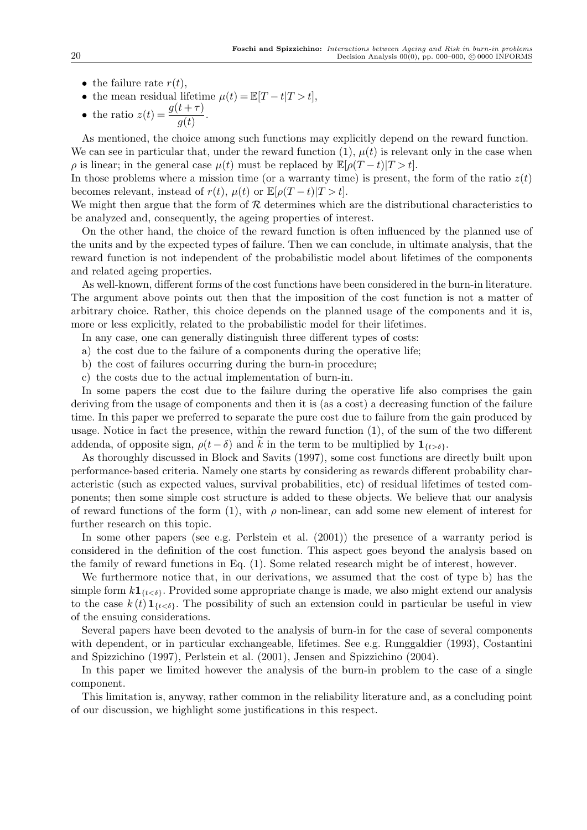- the failure rate  $r(t)$ ,
- the mean residual lifetime  $\mu(t) = \mathbb{E}[T t|T > t],$
- the ratio  $z(t) = \frac{g(t+\tau)}{g(t)}$ .

As mentioned, the choice among such functions may explicitly depend on the reward function. We can see in particular that, under the reward function  $(1)$ ,  $\mu(t)$  is relevant only in the case when  $\rho$  is linear; in the general case  $\mu(t)$  must be replaced by  $\mathbb{E}[\rho(T-t)|T>t]$ .

In those problems where a mission time (or a warranty time) is present, the form of the ratio  $z(t)$ becomes relevant, instead of  $r(t)$ ,  $\mu(t)$  or  $\mathbb{E}[\rho(T-t)|T>t]$ .

We might then argue that the form of  $R$  determines which are the distributional characteristics to be analyzed and, consequently, the ageing properties of interest.

On the other hand, the choice of the reward function is often influenced by the planned use of the units and by the expected types of failure. Then we can conclude, in ultimate analysis, that the reward function is not independent of the probabilistic model about lifetimes of the components and related ageing properties.

As well-known, different forms of the cost functions have been considered in the burn-in literature. The argument above points out then that the imposition of the cost function is not a matter of arbitrary choice. Rather, this choice depends on the planned usage of the components and it is, more or less explicitly, related to the probabilistic model for their lifetimes.

In any case, one can generally distinguish three different types of costs:

- a) the cost due to the failure of a components during the operative life;
- b) the cost of failures occurring during the burn-in procedure;
- c) the costs due to the actual implementation of burn-in.

In some papers the cost due to the failure during the operative life also comprises the gain deriving from the usage of components and then it is (as a cost) a decreasing function of the failure time. In this paper we preferred to separate the pure cost due to failure from the gain produced by usage. Notice in fact the presence, within the reward function (1), of the sum of the two different addenda, of opposite sign,  $\rho(t - \delta)$  and k in the term to be multiplied by  $\mathbf{1}_{\{t > \delta\}}$ .

As thoroughly discussed in Block and Savits (1997), some cost functions are directly built upon performance-based criteria. Namely one starts by considering as rewards different probability characteristic (such as expected values, survival probabilities, etc) of residual lifetimes of tested components; then some simple cost structure is added to these objects. We believe that our analysis of reward functions of the form (1), with  $\rho$  non-linear, can add some new element of interest for further research on this topic.

In some other papers (see e.g. Perlstein et al. (2001)) the presence of a warranty period is considered in the definition of the cost function. This aspect goes beyond the analysis based on the family of reward functions in Eq. (1). Some related research might be of interest, however.

We furthermore notice that, in our derivations, we assumed that the cost of type b) has the simple form  $k\mathbf{1}_{\{\tau<\delta\}}$ . Provided some appropriate change is made, we also might extend our analysis to the case  $k(t)$   $\mathbf{1}_{\{t < \delta\}}$ . The possibility of such an extension could in particular be useful in view of the ensuing considerations.

Several papers have been devoted to the analysis of burn-in for the case of several components with dependent, or in particular exchangeable, lifetimes. See e.g. Runggaldier (1993), Costantini and Spizzichino (1997), Perlstein et al. (2001), Jensen and Spizzichino (2004).

In this paper we limited however the analysis of the burn-in problem to the case of a single component.

This limitation is, anyway, rather common in the reliability literature and, as a concluding point of our discussion, we highlight some justifications in this respect.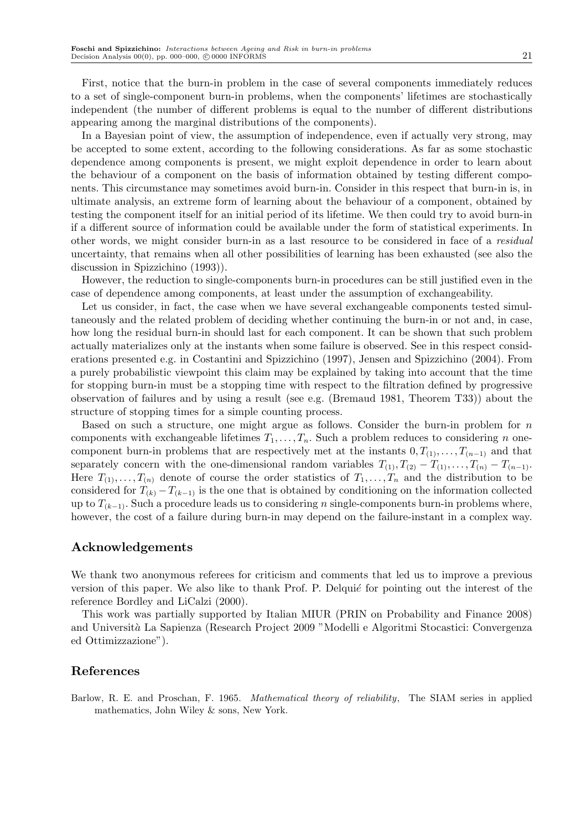First, notice that the burn-in problem in the case of several components immediately reduces to a set of single-component burn-in problems, when the components' lifetimes are stochastically independent (the number of different problems is equal to the number of different distributions appearing among the marginal distributions of the components).

In a Bayesian point of view, the assumption of independence, even if actually very strong, may be accepted to some extent, according to the following considerations. As far as some stochastic dependence among components is present, we might exploit dependence in order to learn about the behaviour of a component on the basis of information obtained by testing different components. This circumstance may sometimes avoid burn-in. Consider in this respect that burn-in is, in ultimate analysis, an extreme form of learning about the behaviour of a component, obtained by testing the component itself for an initial period of its lifetime. We then could try to avoid burn-in if a different source of information could be available under the form of statistical experiments. In other words, we might consider burn-in as a last resource to be considered in face of a *residual* uncertainty, that remains when all other possibilities of learning has been exhausted (see also the discussion in Spizzichino (1993)).

However, the reduction to single-components burn-in procedures can be still justified even in the case of dependence among components, at least under the assumption of exchangeability.

Let us consider, in fact, the case when we have several exchangeable components tested simultaneously and the related problem of deciding whether continuing the burn-in or not and, in case, how long the residual burn-in should last for each component. It can be shown that such problem actually materializes only at the instants when some failure is observed. See in this respect considerations presented e.g. in Costantini and Spizzichino (1997), Jensen and Spizzichino (2004). From a purely probabilistic viewpoint this claim may be explained by taking into account that the time for stopping burn-in must be a stopping time with respect to the filtration defined by progressive observation of failures and by using a result (see e.g. (Bremaud 1981, Theorem T33)) about the structure of stopping times for a simple counting process.

Based on such a structure, one might argue as follows. Consider the burn-in problem for *n* components with exchangeable lifetimes  $T_1, \ldots, T_n$ . Such a problem reduces to considering *n* onecomponent burn-in problems that are respectively met at the instants  $0, T_{(1)}, \ldots, T_{(n-1)}$  and that separately concern with the one-dimensional random variables  $T_{(1)}, T_{(2)} - T_{(1)}, \ldots, T_{(n)} - T_{(n-1)}$ . Here  $T_{(1)}, \ldots, T_{(n)}$  denote of course the order statistics of  $T_1, \ldots, T_n$  and the distribution to be considered for  $T_{(k)} - T_{(k-1)}$  is the one that is obtained by conditioning on the information collected up to *T*(*k−*1). Such a procedure leads us to considering *n* single-components burn-in problems where, however, the cost of a failure during burn-in may depend on the failure-instant in a complex way.

# **Acknowledgements**

We thank two anonymous referees for criticism and comments that led us to improve a previous version of this paper. We also like to thank Prof. P. Delquie for pointing out the interest of the reference Bordley and LiCalzi (2000).

This work was partially supported by Italian MIUR (PRIN on Probability and Finance 2008) and Universit`*a* La Sapienza (Research Project 2009 "Modelli e Algoritmi Stocastici: Convergenza ed Ottimizzazione").

## **References**

Barlow, R. E. and Proschan, F. 1965. *Mathematical theory of reliability*, The SIAM series in applied mathematics, John Wiley & sons, New York.